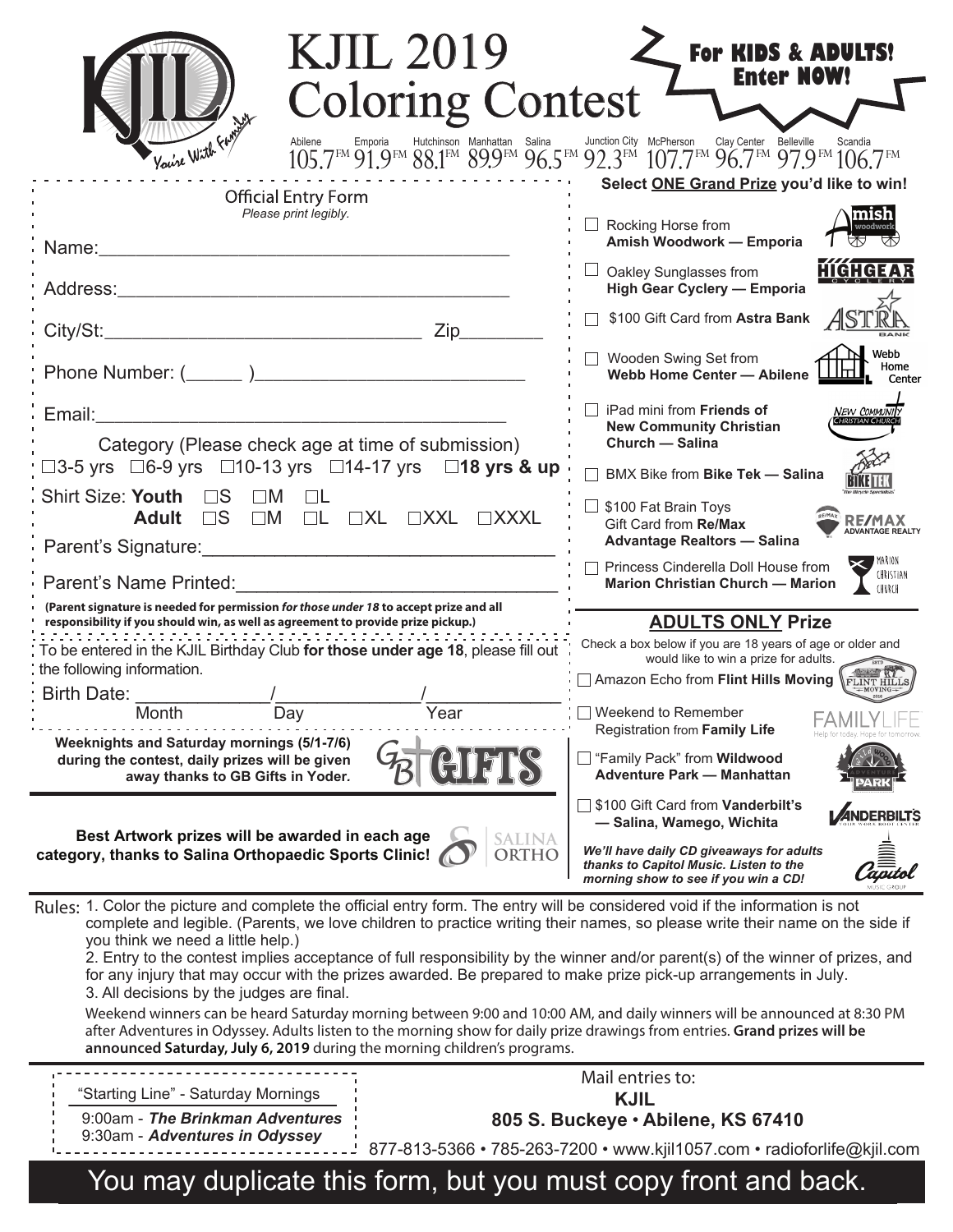| <b>KJIL 2019</b><br><b>Coloring Contest</b>                                                                                                                                                                                                                                                                                                                                                                                                                                                                                                                                                                                                                                                                                                                                                                                                                                                                                            | <b>For KIDS &amp; ADULTS!</b><br><b>Enter NOW!</b>                                                                                                                                                                                                                                                                                                                                           |  |
|----------------------------------------------------------------------------------------------------------------------------------------------------------------------------------------------------------------------------------------------------------------------------------------------------------------------------------------------------------------------------------------------------------------------------------------------------------------------------------------------------------------------------------------------------------------------------------------------------------------------------------------------------------------------------------------------------------------------------------------------------------------------------------------------------------------------------------------------------------------------------------------------------------------------------------------|----------------------------------------------------------------------------------------------------------------------------------------------------------------------------------------------------------------------------------------------------------------------------------------------------------------------------------------------------------------------------------------------|--|
| You're With Early<br>Abilene<br>Hutchinson Manhattan Salina<br>Emporia<br><b>Official Entry Form</b>                                                                                                                                                                                                                                                                                                                                                                                                                                                                                                                                                                                                                                                                                                                                                                                                                                   | Junction City McPherson<br>Clay Center Belleville<br>Scandia<br>$105.7^{\text{\tiny{FM}}}$ 91.9 $^{\text{\tiny{FM}}}$ 88.1 $^{\text{\tiny{FM}}}$ 89.9 $^{\text{\tiny{FM}}}$ 96.5 $^{\text{\tiny{FM}}}$ 92.3 $^{\text{\tiny{FM}}}$ 107.7 $^{\text{\tiny{FM}}}$ 96.7 $^{\text{\tiny{FM}}}$ 97.9 $^{\text{\tiny{FM}}}$ 106.7 $^{\text{\tiny{FM}}}$<br>Select ONE Grand Prize you'd like to win! |  |
| Please print legibly.<br>Name:                                                                                                                                                                                                                                                                                                                                                                                                                                                                                                                                                                                                                                                                                                                                                                                                                                                                                                         | Rocking Horse from<br>Amish Woodwork - Emporia                                                                                                                                                                                                                                                                                                                                               |  |
| Address:                                                                                                                                                                                                                                                                                                                                                                                                                                                                                                                                                                                                                                                                                                                                                                                                                                                                                                                               | HIGHGE A<br>Oakley Sunglasses from<br><b>High Gear Cyclery - Emporia</b>                                                                                                                                                                                                                                                                                                                     |  |
| City/St:                                                                                                                                                                                                                                                                                                                                                                                                                                                                                                                                                                                                                                                                                                                                                                                                                                                                                                                               | \$100 Gift Card from Astra Bank                                                                                                                                                                                                                                                                                                                                                              |  |
|                                                                                                                                                                                                                                                                                                                                                                                                                                                                                                                                                                                                                                                                                                                                                                                                                                                                                                                                        | Webb<br>Wooden Swing Set from<br>Home<br>Webb Home Center - Abilene<br>Center                                                                                                                                                                                                                                                                                                                |  |
| Email:<br><u> 1989 - Jan James James Barbara, politik eta politikaria (h. 1982).</u><br>Category (Please check age at time of submission)                                                                                                                                                                                                                                                                                                                                                                                                                                                                                                                                                                                                                                                                                                                                                                                              | iPad mini from Friends of<br>New Communil<br><b>New Community Christian</b><br>Church - Salina                                                                                                                                                                                                                                                                                               |  |
| □3-5 yrs □6-9 yrs □10-13 yrs □14-17 yrs □18 yrs & up<br><b>Shirt Size: Youth</b><br>$\Box$ S<br>$\square M$                                                                                                                                                                                                                                                                                                                                                                                                                                                                                                                                                                                                                                                                                                                                                                                                                            | BMX Bike from Bike Tek - Salina                                                                                                                                                                                                                                                                                                                                                              |  |
| $\square$<br>$\square$ M $\square$ L $\square$ XL $\square$ XXXL $\square$ XXXL<br><b>Adult</b><br>Parent's Signature: Note that the set of the set of the set of the set of the set of the set of the set of the                                                                                                                                                                                                                                                                                                                                                                                                                                                                                                                                                                                                                                                                                                                      | \$100 Fat Brain Toys<br><b>RE/MAX</b><br>Gift Card from Re/Max<br><b>ADVANTAGE REALTY</b><br><b>Advantage Realtors - Salina</b>                                                                                                                                                                                                                                                              |  |
| Parent's Name Printed:                                                                                                                                                                                                                                                                                                                                                                                                                                                                                                                                                                                                                                                                                                                                                                                                                                                                                                                 | MARION<br>Princess Cinderella Doll House from<br>CHRISTIAN<br><b>Marion Christian Church - Marion</b><br>CHURCH                                                                                                                                                                                                                                                                              |  |
| (Parent signature is needed for permission for those under 18 to accept prize and all<br>responsibility if you should win, as well as agreement to provide prize pickup.)                                                                                                                                                                                                                                                                                                                                                                                                                                                                                                                                                                                                                                                                                                                                                              | <b>ADULTS ONLY Prize</b>                                                                                                                                                                                                                                                                                                                                                                     |  |
| To be entered in the KJIL Birthday Club for those under age 18, please fill out<br>the following information.                                                                                                                                                                                                                                                                                                                                                                                                                                                                                                                                                                                                                                                                                                                                                                                                                          | Check a box below if you are 18 years of age or older and<br>would like to win a prize for adults.<br>Amazon Echo from Flint Hills Moving                                                                                                                                                                                                                                                    |  |
| <b>Birth Date:</b><br>Month<br>Year                                                                                                                                                                                                                                                                                                                                                                                                                                                                                                                                                                                                                                                                                                                                                                                                                                                                                                    | <b>FLINT HILLS</b><br>Weekend to Remember                                                                                                                                                                                                                                                                                                                                                    |  |
| Day<br>Weeknights and Saturday mornings (5/1-7/6)                                                                                                                                                                                                                                                                                                                                                                                                                                                                                                                                                                                                                                                                                                                                                                                                                                                                                      | Registration from Family Life                                                                                                                                                                                                                                                                                                                                                                |  |
| during the contest, daily prizes will be given<br>away thanks to GB Gifts in Yoder.                                                                                                                                                                                                                                                                                                                                                                                                                                                                                                                                                                                                                                                                                                                                                                                                                                                    | Family Pack" from Wildwood<br><b>Adventure Park - Manhattan</b>                                                                                                                                                                                                                                                                                                                              |  |
| Best Artwork prizes will be awarded in each age                                                                                                                                                                                                                                                                                                                                                                                                                                                                                                                                                                                                                                                                                                                                                                                                                                                                                        | \$100 Gift Card from Vanderbilt's<br>ANDERBILTS<br>- Salina, Wamego, Wichita                                                                                                                                                                                                                                                                                                                 |  |
| SALINA<br>category, thanks to Salina Orthopaedic Sports Clinic!<br>ORTHO                                                                                                                                                                                                                                                                                                                                                                                                                                                                                                                                                                                                                                                                                                                                                                                                                                                               | We'll have daily CD giveaways for adults<br>thanks to Capitol Music. Listen to the<br>morning show to see if you win a CD!                                                                                                                                                                                                                                                                   |  |
| Rules: 1. Color the picture and complete the official entry form. The entry will be considered void if the information is not<br>complete and legible. (Parents, we love children to practice writing their names, so please write their name on the side if<br>you think we need a little help.)<br>2. Entry to the contest implies acceptance of full responsibility by the winner and/or parent(s) of the winner of prizes, and<br>for any injury that may occur with the prizes awarded. Be prepared to make prize pick-up arrangements in July.<br>3. All decisions by the judges are final.<br>Weekend winners can be heard Saturday morning between 9:00 and 10:00 AM, and daily winners will be announced at 8:30 PM<br>after Adventures in Odyssey. Adults listen to the morning show for daily prize drawings from entries. Grand prizes will be<br>announced Saturday, July 6, 2019 during the morning children's programs. |                                                                                                                                                                                                                                                                                                                                                                                              |  |
| "Starting Line" - Saturday Mornings                                                                                                                                                                                                                                                                                                                                                                                                                                                                                                                                                                                                                                                                                                                                                                                                                                                                                                    | Mail entries to:<br><b>KJIL</b>                                                                                                                                                                                                                                                                                                                                                              |  |
| 9:00am - The Brinkman Adventures<br>9:30am - Adventures in Odyssey                                                                                                                                                                                                                                                                                                                                                                                                                                                                                                                                                                                                                                                                                                                                                                                                                                                                     | 805 S. Buckeye · Abilene, KS 67410                                                                                                                                                                                                                                                                                                                                                           |  |
| 877-813-5366 • 785-263-7200 • www.kjil1057.com • radioforlife@kjil.com<br>You may duplicate this form, but you must copy front and back.                                                                                                                                                                                                                                                                                                                                                                                                                                                                                                                                                                                                                                                                                                                                                                                               |                                                                                                                                                                                                                                                                                                                                                                                              |  |